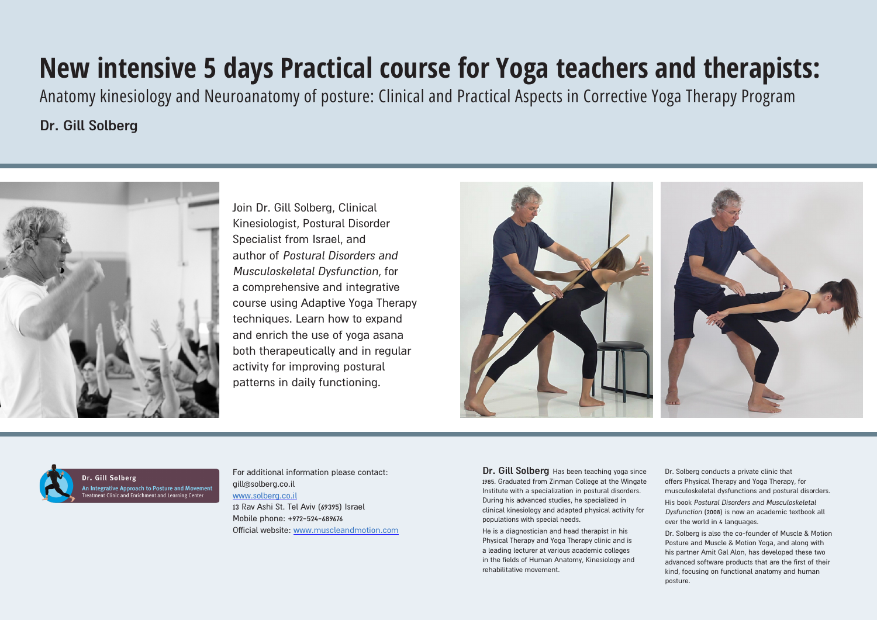Join Dr. Gill Solberg, Clinical Kinesiologist, Postural Disorder Specialist from Israel, and author of Postural Disorders and Musculoskeletal Dysfunction, for a comprehensive and integrative course using Adaptive Yoga Therapy techniques. Learn how to expand and enrich the use of yoga asana both therapeutically and in regular activity for improving postural patterns in daily functioning.





Dr. Gill Solberg An Integrative Approach to Posture and Movement<br>Treatment Clinic and Enrichment and Learning Center

**Dr. Gill Solberg** Has been teaching yoga since 1985. Graduated from Zinman College at the Wingate Institute with a specialization in postural disorders. During his advanced studies, he specialized in clinical kinesiology and adapted physical activity for populations with special needs.

He is a diagnostician and head therapist in his Physical Therapy and Yoga Therapy clinic and is a leading lecturer at various academic colleges in the fields of Human Anatomy, Kinesiology and rehabilitative movement.

Dr. Solberg conducts a private clinic that offers Physical Therapy and Yoga Therapy, for musculoskeletal dysfunctions and postural disorders.

His book Postural Disorders and Musculoskeletal Dysfunction (2008) is now an academic textbook all over the world in 4 languages.

Dr. Solberg is also the co-founder of Muscle & Motion Posture and Muscle & Motion Yoga, and along with his partner Amit Gal Alon, has developed these two advanced software products that are the first of their kind, focusing on functional anatomy and human posture.

For additional information please contact: gill@solberg.co.il [www.solberg.co.il](http://www.solberg.co.il/) 13 Rav Ashi St. Tel Aviv (69395) Israel Mobile phone: +972-524-689676 Official website: www.muscleandmotion.com

# **New intensive 5 days Practical course for Yoga teachers and therapists:**  Anatomy kinesiology and Neuroanatomy of posture: Clinical and Practical Aspects in Corrective Yoga Therapy Program

**Dr. Gill Solberg**